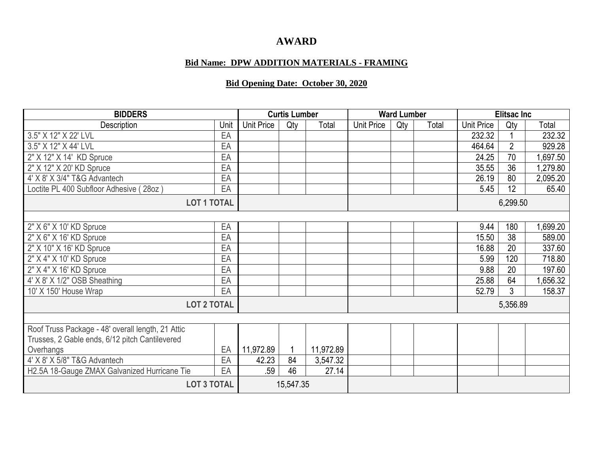## **AWARD**

## **Bid Name: DPW ADDITION MATERIALS - FRAMING**

## **Bid Opening Date: October 30, 2020**

| <b>BIDDERS</b>                                    |      | <b>Curtis Lumber</b> |     |           | <b>Ward Lumber</b> |     |          | <b>Elitsac Inc</b> |                |          |
|---------------------------------------------------|------|----------------------|-----|-----------|--------------------|-----|----------|--------------------|----------------|----------|
| Description                                       | Unit | Unit Price           | Qty | Total     | <b>Unit Price</b>  | Qty | Total    | Unit Price         | Qty            | Total    |
| 3.5" X 12" X 22' LVL                              | EA   |                      |     |           |                    |     |          | 232.32             |                | 232.32   |
| 3.5" X 12" X 44' LVL                              | EA   |                      |     |           |                    |     |          | 464.64             | $\overline{2}$ | 929.28   |
| 2" X 12" X 14' KD Spruce                          | EA   |                      |     |           |                    |     |          | 24.25              | 70             | 697.50   |
| 2" X 12" X 20' KD Spruce                          | EA   |                      |     |           |                    |     |          | 35.55              | 36             | 1,279.80 |
| 4' X 8' X 3/4" T&G Advantech                      | EA   |                      |     |           |                    |     |          | 26.19              | 80             | 2,095.20 |
| Loctite PL 400 Subfloor Adhesive (28oz)           | EA   |                      |     |           |                    |     |          | 5.45               | 12             | 65.40    |
| <b>LOT 1 TOTAL</b>                                |      |                      |     |           |                    |     | 6,299.50 |                    |                |          |
|                                                   |      |                      |     |           |                    |     |          |                    |                |          |
| 2" X 6" X 10' KD Spruce                           | EA   |                      |     |           |                    |     |          | 9.44               | 180            | ,699.20  |
| 2" X 6" X 16' KD Spruce                           | EA   |                      |     |           |                    |     |          | 15.50              | 38             | 589.00   |
| 2" X 10" X 16' KD Spruce                          | EA   |                      |     |           |                    |     |          | 16.88              | 20             | 337.60   |
| 2" X 4" X 10' KD Spruce                           | EA   |                      |     |           |                    |     |          | 5.99               | 120            | 718.80   |
| $2"$ X 4" X 16' KD Spruce                         | EA   |                      |     |           |                    |     |          | 9.88               | 20             | 197.60   |
| 4' X 8' X 1/2" OSB Sheathing                      | EA   |                      |     |           |                    |     |          | 25.88              | 64             | ,656.32  |
| 10' X 150' House Wrap                             | EA   |                      |     |           |                    |     |          | 52.79              | 3              | 158.37   |
| <b>LOT 2 TOTAL</b>                                |      |                      |     |           |                    |     |          |                    | 5,356.89       |          |
|                                                   |      |                      |     |           |                    |     |          |                    |                |          |
| Roof Truss Package - 48' overall length, 21 Attic |      |                      |     |           |                    |     |          |                    |                |          |
| Trusses, 2 Gable ends, 6/12 pitch Cantilevered    |      |                      |     |           |                    |     |          |                    |                |          |
| Overhangs                                         | EA   | 11,972.89            |     | 11,972.89 |                    |     |          |                    |                |          |
| 4' X 8' X 5/8" T&G Advantech                      | EA   | 42.23                | 84  | 3,547.32  |                    |     |          |                    |                |          |
| H2.5A 18-Gauge ZMAX Galvanized Hurricane Tie      | EA   | .59                  | 46  | 27.14     |                    |     |          |                    |                |          |
| <b>LOT 3 TOTAL</b>                                |      | 15,547.35            |     |           |                    |     |          |                    |                |          |